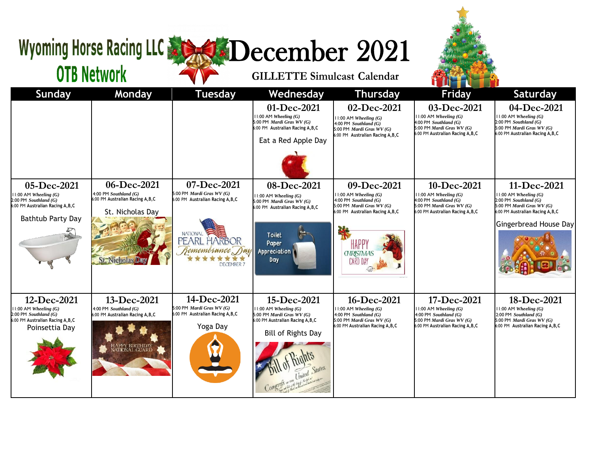## Wyoming Horse Racing LLC & SCORE December 2021

## **OTB Network**

## **GILLETTE Simulcast Calendar**

| <b>Sunday</b>                                                                                                                          | Monday                                                                                                                    | <b>Tuesday</b>                                                                                                                                                                 | Wednesday                                                                                                                                   | <b>Thursday</b>                                                                                                                                                                                | <b>Friday</b>                                                                                                                            | <b>Saturday</b>                                                                                                                                                  |
|----------------------------------------------------------------------------------------------------------------------------------------|---------------------------------------------------------------------------------------------------------------------------|--------------------------------------------------------------------------------------------------------------------------------------------------------------------------------|---------------------------------------------------------------------------------------------------------------------------------------------|------------------------------------------------------------------------------------------------------------------------------------------------------------------------------------------------|------------------------------------------------------------------------------------------------------------------------------------------|------------------------------------------------------------------------------------------------------------------------------------------------------------------|
|                                                                                                                                        |                                                                                                                           |                                                                                                                                                                                | 01-Dec-2021<br>$11:00$ AM Wheeling $(G)$<br>5:00 PM Mardi Gras WV (G)<br>6:00 PM Australian Racing A, B, C<br>Eat a Red Apple Day           | 02-Dec-2021<br>$11:00$ AM Wheeling $(G)$<br>4:00 PM Southland $(G)$<br>5:00 PM Mardi Gras WV (G)<br>6:00 PM Australian Racing A, B, C                                                          | 03-Dec-2021<br>$11:00$ AM Wheeling $(G)$<br>$4:00$ PM Southland $(G)$<br>5:00 PM Mardi Gras $WV(G)$<br>6:00 PM Australian Racing A, B, C | 04-Dec-2021<br>$11:00$ AM Wheeling $(G)$<br>$2:00$ PM Southland $(G)$<br>5:00 PM Mardi Gras WV (G)<br>6:00 PM Australian Racing A, B, C                          |
| 05-Dec-2021<br>$11:00$ AM Wheeling $(G)$<br>$2:00$ PM Southland $(G)$<br>6:00 PM Australian Racing A, B, C<br><b>Bathtub Party Day</b> | 06-Dec-2021<br>4:00 PM Southland $(G)$<br>6:00 PM Australian Racing A, B, C<br>St. Nicholas Day<br>St. Nichola            | 07-Dec-2021<br>5:00 PM <i>Mardi Gras WV</i> $(G)$<br>6:00 PM Australian Racing A, B, C<br><b>NATIONAL</b><br>PEARL HARBOR<br>Remembrance Day Appreciation<br><b>DECEMBER 7</b> | 08-Dec-2021<br>$11:00$ AM Wheeling $(G)$<br>5:00 PM Mardi Gras WV (G)<br>6:00 PM Australian Racing A, B, C<br><b>Toilet</b><br>Paper<br>Day | 09-Dec-2021<br>$11:00$ AM Wheeling $(G)$<br>4:00 PM Southland $(G)$<br>5:00 PM <i>Mardi Gras WV</i> $(G)$<br>6:00 PM Australian Racing A, B, C<br>HAPP'<br><b>GHRISTMAS</b><br><b>CARD DAY</b> | 10-Dec-2021<br>$11:00$ AM Wheeling $(G)$<br>$4:00$ PM Southland (G)<br>5:00 PM Mardi Gras $WV(G)$<br>6:00 PM Australian Racing A, B, C   | 11-Dec-2021<br>$11:00$ AM Wheeling $(G)$<br>$2:00$ PM Southland $(G)$<br>5:00 PM Mardi Gras WV (G)<br>6:00 PM Australian Racing A, B, C<br>Gingerbread House Day |
| 12-Dec-2021<br>$11:00$ AM Wheeling $(G)$<br>$2.00$ PM Southland $(G)$<br>6:00 PM Australian Racing A, B, C<br>Poinsettia Day           | 13-Dec-2021<br>4:00 PM Southland $(G)$<br>6:00 PM Australian Racing A, B, C<br><mark>\PPY BIRTHDAY</mark><br>TIONAL GUARD | 14-Dec-2021<br>5:00 PM Mardi Gras $WV(G)$<br>6:00 PM Australian Racing A, B, C<br>Yoga Day                                                                                     | 15-Dec-2021<br>$11:00$ AM Wheeling $(G)$<br>5:00 PM Mardi Gras WV (G)<br>6:00 PM Australian Racing A, B, C<br><b>Bill of Rights Day</b>     | 16-Dec-2021<br>$11:00$ AM Wheeling $(G)$<br>4:00 PM $Southland(G)$<br>5:00 PM Mardi Gras WV (G)<br>6:00 PM Australian Racing A, B, C                                                           | 17-Dec-2021<br>$11:00$ AM Wheeling $(G)$<br>4:00 PM Southland (G)<br>5:00 PM Mardi Gras $WV(G)$<br>6:00 PM Australian Racing A, B, C     | 18-Dec-2021<br>$11:00$ AM Wheeling $(G)$<br>$2:00$ PM Southland $(G)$<br>5:00 PM Mardi Gras WV (G)<br>6:00 PM Australian Racing A, B, C                          |